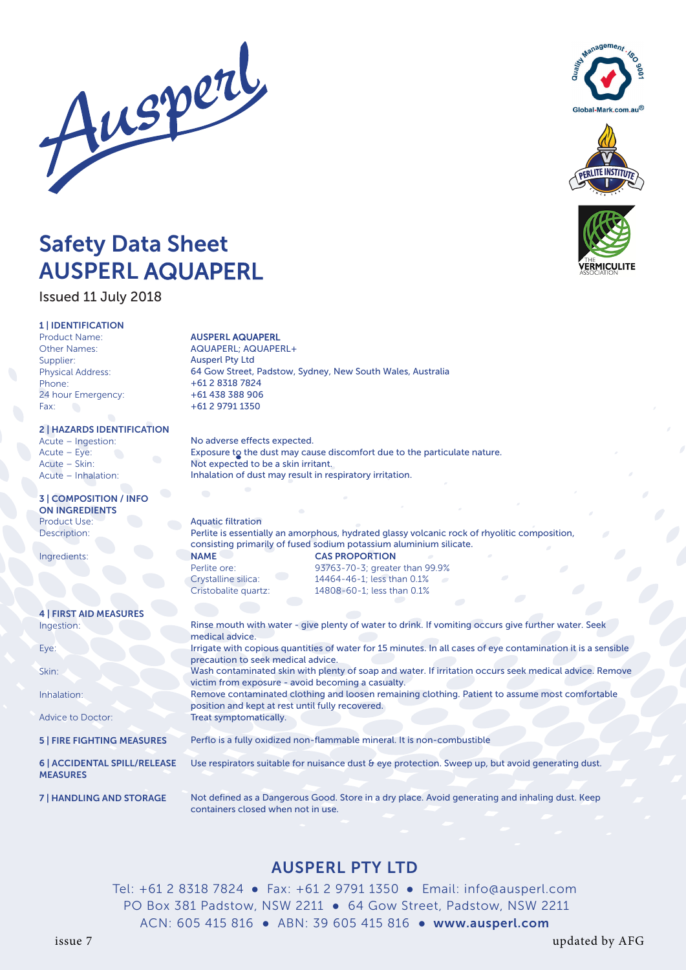





*VERMICULITE* 

# Safety Data Sheet AUSPERL AQUAPERL

# Issued 11 July 2018

# 1 | IDENTIFICATION

Product Name: Other Names: Supplier: Physical Address: Phone: 24 hour Emergency: Fax:

# 2 | HAZARDS IDENTIFICATION

Acute – Ingestion: Acute – Eye: Acute – Skin: Acute – Inhalation:

### 3 | COMPOSITION / INFO ON INGREDIENTS Product Use: Description:

Ingredients:

## 4 | FIRST AID MEASURES Ingestion:

Eye:

Skin:

Inhalation:

Advice to Doctor:

5 | FIRE FIGHTING MEASURES

### 6 | ACCIDENTAL SPILL/RELEASE MEASURES

7 | HANDLING AND STORAGE

# AUSPERL AQUAPERL

AQUAPERL; AQUAPERL+ Ausperl Pty Ltd 64 Gow Street, Padstow, Sydney, New South Wales, Australia +61 2 8318 7824 +61 438 388 906 +61 2 9791 1350

No adverse effects expected. Exposure to the dust may cause discomfort due to the particulate nature. Not expected to be a skin irritant. Inhalation of dust may result in respiratory irritation.

Aquatic filtration Perlite is essentially an amorphous, hydrated glassy volcanic rock of rhyolitic composition, consisting primarily of fused sodium potassium aluminium silicate. NAME CAS PROPORTION Perlite ore: 93763-70-3; greater than 99.9% Crystalline silica: 14464-46-1; less than 0.1% Cristobalite quartz: 14808-60-1; less than 0.1%

Rinse mouth with water - give plenty of water to drink. If vomiting occurs give further water. Seek medical advice. Irrigate with copious quantities of water for 15 minutes. In all cases of eye contamination it is a sensible precaution to seek medical advice. Wash contaminated skin with plenty of soap and water. If irritation occurs seek medical advice. Remove victim from exposure - avoid becoming a casualty. Remove contaminated clothing and loosen remaining clothing. Patient to assume most comfortable position and kept at rest until fully recovered. Treat symptomatically. Perflo is a fully oxidized non-flammable mineral. It is non-combustible Use respirators suitable for nuisance dust & eye protection. Sweep up, but avoid generating dust. Not defined as a Dangerous Good. Store in a dry place. Avoid generating and inhaling dust. Keep containers closed when not in use.

# AUSPERL PTY LTD

Tel: +61 2 8318 7824 **●** Fax: +61 2 9791 1350 **●** Email: info@ausperl.com PO Box 381 Padstow, NSW 2211 **●** 64 Gow Street, Padstow, NSW 2211 ACN: 605 415 816 **●** ABN: 39 605 415 816 **●** www.ausperl.com